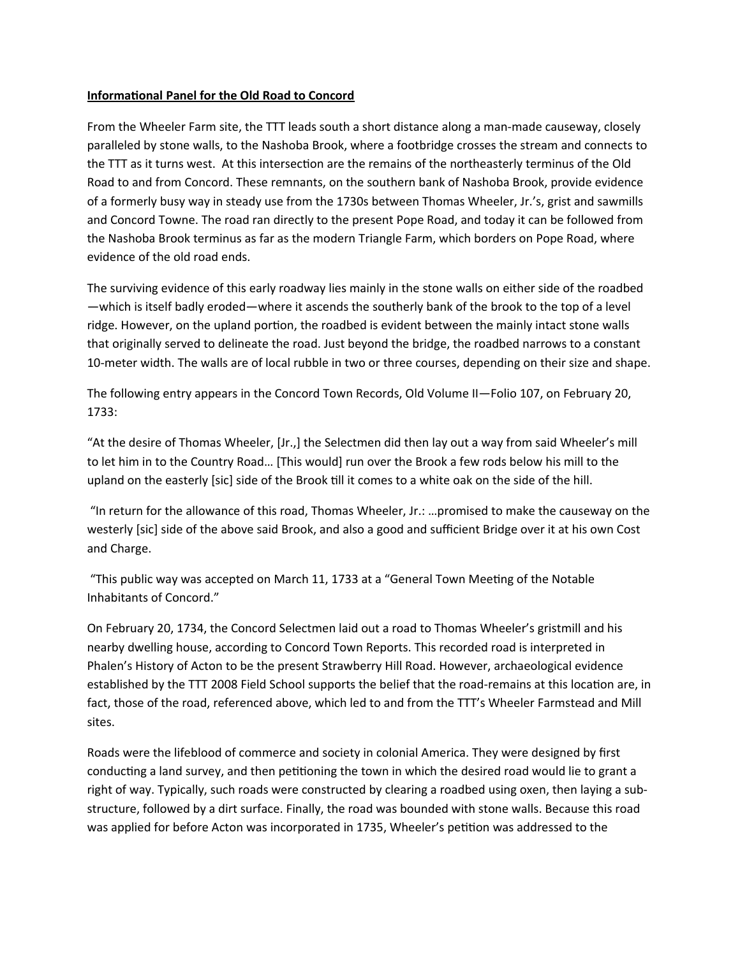## **Informational Panel for the Old Road to Concord**

From the Wheeler Farm site, the TTT leads south a short distance along a man-made causeway, closely paralleled by stone walls, to the Nashoba Brook, where a footbridge crosses the stream and connects to the TTT as it turns west. At this intersection are the remains of the northeasterly terminus of the Old Road to and from Concord. These remnants, on the southern bank of Nashoba Brook, provide evidence of a formerly busy way in steady use from the 1730s between Thomas Wheeler, Jr.'s, grist and sawmills and Concord Towne. The road ran directly to the present Pope Road, and today it can be followed from the Nashoba Brook terminus as far as the modern Triangle Farm, which borders on Pope Road, where evidence of the old road ends.

The surviving evidence of this early roadway lies mainly in the stone walls on either side of the roadbed —which is itself badly eroded—where it ascends the southerly bank of the brook to the top of a level ridge. However, on the upland portion, the roadbed is evident between the mainly intact stone walls that originally served to delineate the road. Just beyond the bridge, the roadbed narrows to a constant 10-meter width. The walls are of local rubble in two or three courses, depending on their size and shape.

The following entry appears in the Concord Town Records, Old Volume II—Folio 107, on February 20, 1733:

"At the desire of Thomas Wheeler, [Jr.,] the Selectmen did then lay out a way from said Wheeler's mill to let him in to the Country Road… [This would] run over the Brook a few rods below his mill to the upland on the easterly [sic] side of the Brook till it comes to a white oak on the side of the hill.

 "In return for the allowance of this road, Thomas Wheeler, Jr.: …promised to make the causeway on the westerly [sic] side of the above said Brook, and also a good and sufficient Bridge over it at his own Cost and Charge.

 "This public way was accepted on March 11, 1733 at a "General Town Meeting of the Notable Inhabitants of Concord."

On February 20, 1734, the Concord Selectmen laid out a road to Thomas Wheeler's gristmill and his nearby dwelling house, according to Concord Town Reports. This recorded road is interpreted in Phalen's History of Acton to be the present Strawberry Hill Road. However, archaeological evidence established by the TTT 2008 Field School supports the belief that the road-remains at this location are, in fact, those of the road, referenced above, which led to and from the TTT's Wheeler Farmstead and Mill sites.

Roads were the lifeblood of commerce and society in colonial America. They were designed by first conducting a land survey, and then petitioning the town in which the desired road would lie to grant a right of way. Typically, such roads were constructed by clearing a roadbed using oxen, then laying a substructure, followed by a dirt surface. Finally, the road was bounded with stone walls. Because this road was applied for before Acton was incorporated in 1735, Wheeler's petition was addressed to the